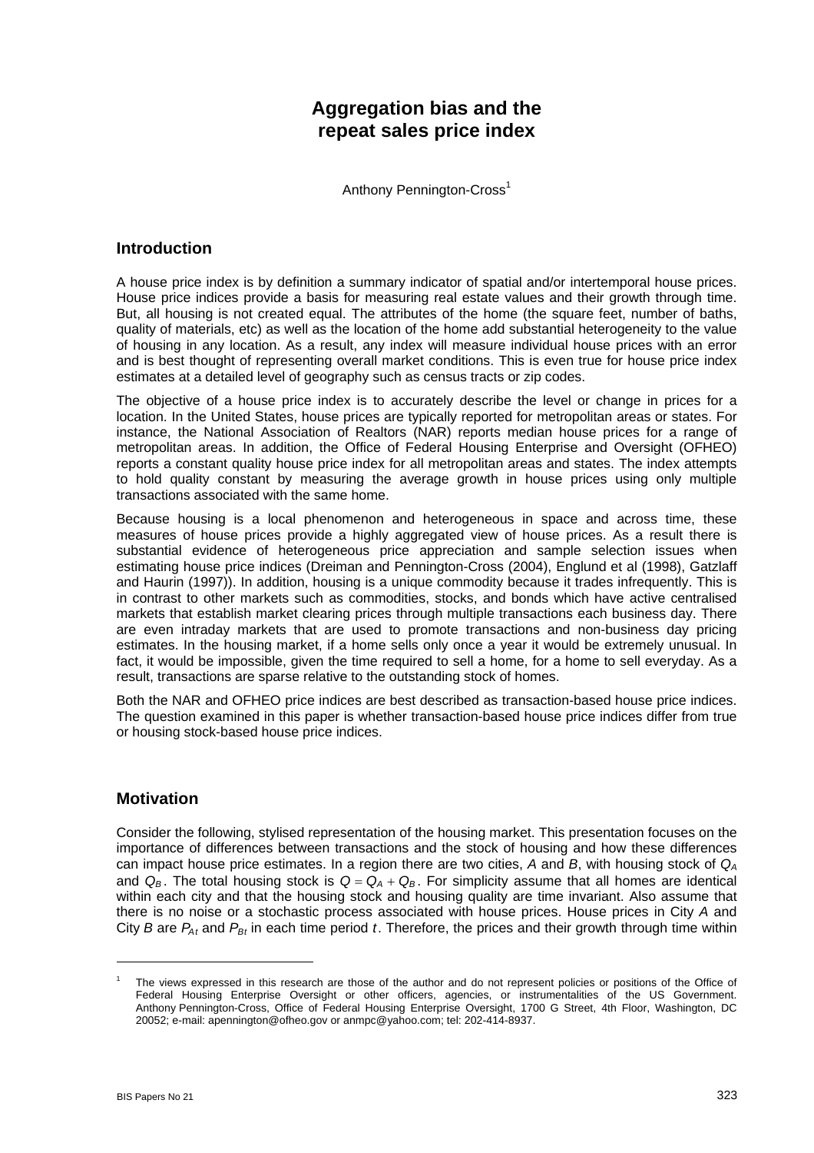# **Aggregation bias and the repeat sales price index**

Anthony Pennington-Cross<sup>1</sup>

## **Introduction**

A house price index is by definition a summary indicator of spatial and/or intertemporal house prices. House price indices provide a basis for measuring real estate values and their growth through time. But, all housing is not created equal. The attributes of the home (the square feet, number of baths, quality of materials, etc) as well as the location of the home add substantial heterogeneity to the value of housing in any location. As a result, any index will measure individual house prices with an error and is best thought of representing overall market conditions. This is even true for house price index estimates at a detailed level of geography such as census tracts or zip codes.

The objective of a house price index is to accurately describe the level or change in prices for a location. In the United States, house prices are typically reported for metropolitan areas or states. For instance, the National Association of Realtors (NAR) reports median house prices for a range of metropolitan areas. In addition, the Office of Federal Housing Enterprise and Oversight (OFHEO) reports a constant quality house price index for all metropolitan areas and states. The index attempts to hold quality constant by measuring the average growth in house prices using only multiple transactions associated with the same home.

Because housing is a local phenomenon and heterogeneous in space and across time, these measures of house prices provide a highly aggregated view of house prices. As a result there is substantial evidence of heterogeneous price appreciation and sample selection issues when estimating house price indices (Dreiman and Pennington-Cross (2004), Englund et al (1998), Gatzlaff and Haurin (1997)). In addition, housing is a unique commodity because it trades infrequently. This is in contrast to other markets such as commodities, stocks, and bonds which have active centralised markets that establish market clearing prices through multiple transactions each business day. There are even intraday markets that are used to promote transactions and non-business day pricing estimates. In the housing market, if a home sells only once a year it would be extremely unusual. In fact, it would be impossible, given the time required to sell a home, for a home to sell everyday. As a result, transactions are sparse relative to the outstanding stock of homes.

Both the NAR and OFHEO price indices are best described as transaction-based house price indices. The question examined in this paper is whether transaction-based house price indices differ from true or housing stock-based house price indices.

## **Motivation**

Consider the following, stylised representation of the housing market. This presentation focuses on the importance of differences between transactions and the stock of housing and how these differences can impact house price estimates. In a region there are two cities, *A* and *B*, with housing stock of *QA* and  $Q_B$ . The total housing stock is  $Q = Q_A + Q_B$ . For simplicity assume that all homes are identical within each city and that the housing stock and housing quality are time invariant. Also assume that there is no noise or a stochastic process associated with house prices. House prices in City *A* and City *B* are  $P_{At}$  and  $P_{Bt}$  in each time period *t*. Therefore, the prices and their growth through time within

<sup>1</sup> The views expressed in this research are those of the author and do not represent policies or positions of the Office of Federal Housing Enterprise Oversight or other officers, agencies, or instrumentalities of the US Government. Anthony Pennington-Cross, Office of Federal Housing Enterprise Oversight, 1700 G Street, 4th Floor, Washington, DC 20052; e-mail: apennington@ofheo.gov or anmpc@yahoo.com; tel: 202-414-8937.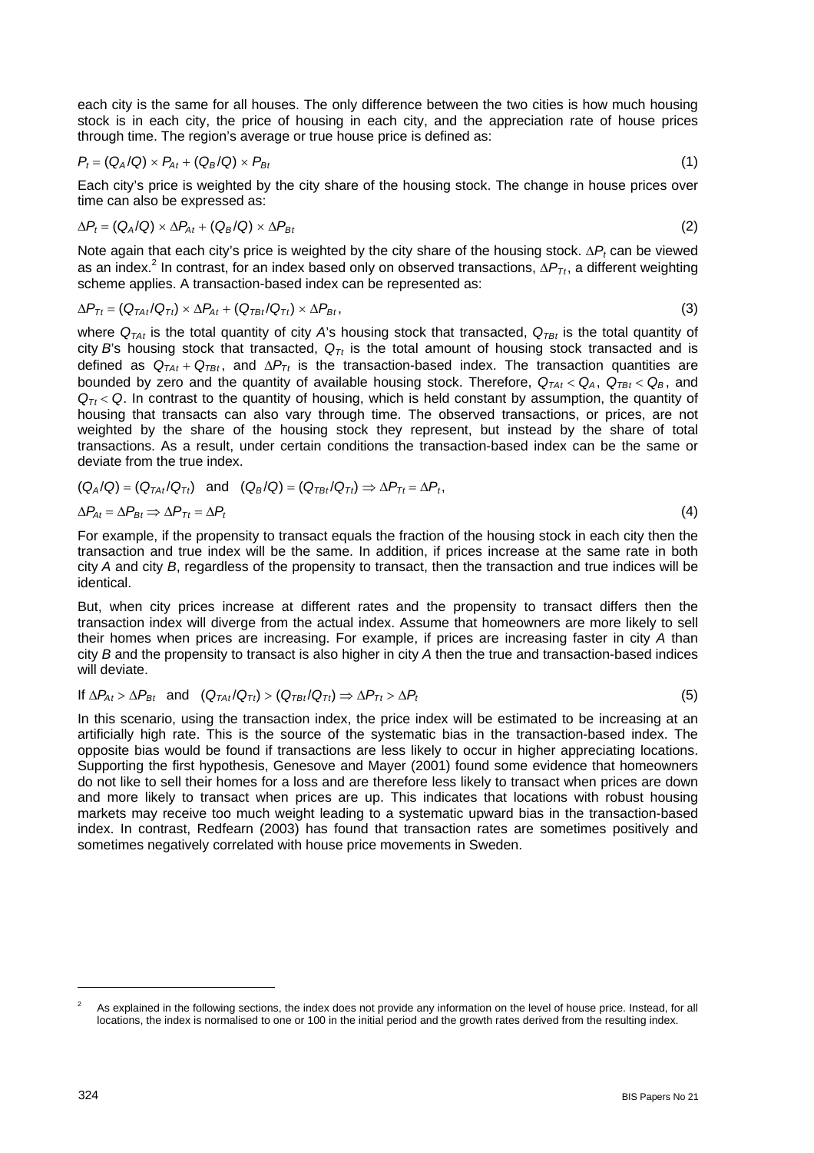each city is the same for all houses. The only difference between the two cities is how much housing stock is in each city, the price of housing in each city, and the appreciation rate of house prices through time. The region's average or true house price is defined as:

$$
P_t = (Q_A/Q) \times P_{At} + (Q_B/Q) \times P_{Bt} \tag{1}
$$

Each city's price is weighted by the city share of the housing stock. The change in house prices over time can also be expressed as:

$$
\Delta P_t = (Q_A/Q) \times \Delta P_{At} + (Q_B/Q) \times \Delta P_{Bt} \tag{2}
$$

Note again that each city's price is weighted by the city share of the housing stock. ∆*P<sub>t</sub>* can be viewed as an index.<sup>2</sup> In contrast, for an index based only on observed transactions, ∆*P<sub>Tt</sub>*, a different weighting scheme applies. A transaction-based index can be represented as:

$$
\Delta P_{Tt} = (Q_{TAt}/Q_{Tt}) \times \Delta P_{At} + (Q_{TBt}/Q_{Tt}) \times \Delta P_{Bt},
$$
\n(3)

where  $Q_{TAt}$  is the total quantity of city *A*'s housing stock that transacted,  $Q_{TBt}$  is the total quantity of city *B*'s housing stock that transacted,  $Q_{\tau t}$  is the total amount of housing stock transacted and is defined as *QTAt* + *QTBt* , and ∆*PTt* is the transaction-based index. The transaction quantities are bounded by zero and the quantity of available housing stock. Therefore,  $Q_{TA}$  <  $Q_A$ ,  $Q_{TB}$  <  $Q_B$ , and  $Q_{\tau t}$  < *Q*. In contrast to the quantity of housing, which is held constant by assumption, the quantity of housing that transacts can also vary through time. The observed transactions, or prices, are not weighted by the share of the housing stock they represent, but instead by the share of total transactions. As a result, under certain conditions the transaction-based index can be the same or deviate from the true index.

$$
(Q_A/Q) = (Q_{TAt}/Q_{Tt}) \text{ and } (Q_B/Q) = (Q_{TBt}/Q_{Tt}) \Rightarrow \Delta P_{Tt} = \Delta P_t,
$$
  

$$
\Delta P_{At} = \Delta P_{Bt} \Rightarrow \Delta P_{Tt} = \Delta P_t
$$
 (4)

For example, if the propensity to transact equals the fraction of the housing stock in each city then the transaction and true index will be the same. In addition, if prices increase at the same rate in both city *A* and city *B*, regardless of the propensity to transact, then the transaction and true indices will be identical.

But, when city prices increase at different rates and the propensity to transact differs then the transaction index will diverge from the actual index. Assume that homeowners are more likely to sell their homes when prices are increasing. For example, if prices are increasing faster in city *A* than city *B* and the propensity to transact is also higher in city *A* then the true and transaction-based indices will deviate.

If 
$$
\Delta P_{At} > \Delta P_{Bt}
$$
 and  $(Q_{TAt}/Q_{Tt}) > (Q_{TBt}/Q_{Tt}) \Rightarrow \Delta P_{Tt} > \Delta P_t$  (5)

In this scenario, using the transaction index, the price index will be estimated to be increasing at an artificially high rate. This is the source of the systematic bias in the transaction-based index. The opposite bias would be found if transactions are less likely to occur in higher appreciating locations. Supporting the first hypothesis, Genesove and Mayer (2001) found some evidence that homeowners do not like to sell their homes for a loss and are therefore less likely to transact when prices are down and more likely to transact when prices are up. This indicates that locations with robust housing markets may receive too much weight leading to a systematic upward bias in the transaction-based index. In contrast, Redfearn (2003) has found that transaction rates are sometimes positively and sometimes negatively correlated with house price movements in Sweden.

<sup>2</sup> As explained in the following sections, the index does not provide any information on the level of house price. Instead, for all locations, the index is normalised to one or 100 in the initial period and the growth rates derived from the resulting index.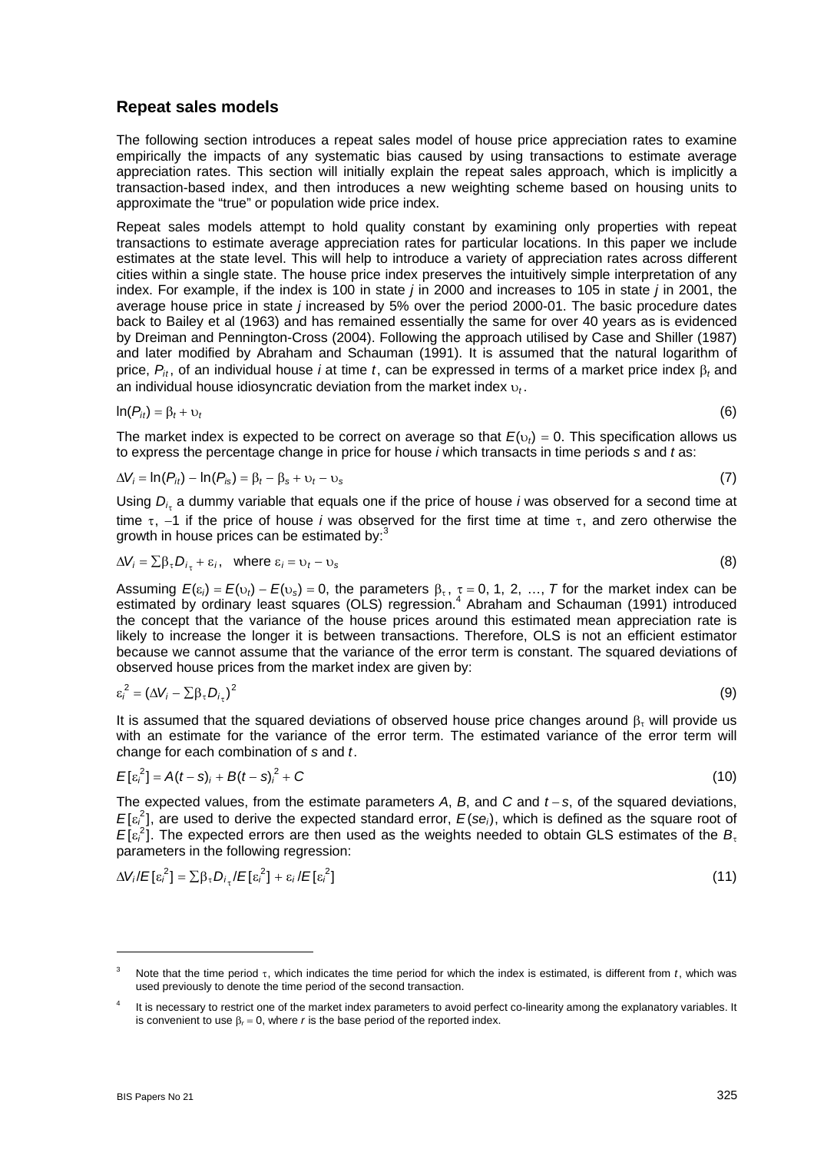### **Repeat sales models**

The following section introduces a repeat sales model of house price appreciation rates to examine empirically the impacts of any systematic bias caused by using transactions to estimate average appreciation rates. This section will initially explain the repeat sales approach, which is implicitly a transaction-based index, and then introduces a new weighting scheme based on housing units to approximate the "true" or population wide price index.

Repeat sales models attempt to hold quality constant by examining only properties with repeat transactions to estimate average appreciation rates for particular locations. In this paper we include estimates at the state level. This will help to introduce a variety of appreciation rates across different cities within a single state. The house price index preserves the intuitively simple interpretation of any index. For example, if the index is 100 in state *j* in 2000 and increases to 105 in state *j* in 2001, the average house price in state *j* increased by 5% over the period 2000-01. The basic procedure dates back to Bailey et al (1963) and has remained essentially the same for over 40 years as is evidenced by Dreiman and Pennington-Cross (2004). Following the approach utilised by Case and Shiller (1987) and later modified by Abraham and Schauman (1991). It is assumed that the natural logarithm of price, *Pit* , of an individual house *i* at time *t*, can be expressed in terms of a market price index β*t* and an individual house idiosyncratic deviation from the market index υ*<sup>t</sup>* .

$$
\ln(P_{it}) = \beta_t + \upsilon_t \tag{6}
$$

The market index is expected to be correct on average so that  $E(v_t) = 0$ . This specification allows us to express the percentage change in price for house *i* which transacts in time periods *s* and *t* as:

$$
\Delta V_i = \ln(P_{it}) - \ln(P_{is}) = \beta_t - \beta_s + \nu_t - \nu_s \tag{7}
$$

Using  $D_{i_{\tau}}$  a dummy variable that equals one if the price of house *i* was observed for a second time at time τ, −1 if the price of house *i* was observed for the first time at time τ, and zero otherwise the growth in house prices can be estimated by: $\frac{3}{5}$ 

$$
\Delta V_i = \sum \beta_{\tau} D_{i_{\tau}} + \varepsilon_i, \quad \text{where } \varepsilon_i = \nu_t - \nu_s \tag{8}
$$

Assuming  $E(\varepsilon_i) = E(\varepsilon_i) - E(\varepsilon_s) = 0$ , the parameters  $\beta_{\tau}$ ,  $\tau = 0, 1, 2, ..., T$  for the market index can be estimated by ordinary least squares (OLS) regression.<sup>4</sup> Abraham and Schauman (1991) introduced the concept that the variance of the house prices around this estimated mean appreciation rate is likely to increase the longer it is between transactions. Therefore, OLS is not an efficient estimator because we cannot assume that the variance of the error term is constant. The squared deviations of observed house prices from the market index are given by:

$$
\varepsilon_i^2 = \left(\Delta V_i - \sum \beta_\tau D_{i_\tau}\right)^2 \tag{9}
$$

It is assumed that the squared deviations of observed house price changes around  $\beta_{\tau}$  will provide us with an estimate for the variance of the error term. The estimated variance of the error term will change for each combination of *s* and *t*.

$$
E[\epsilon_i^2] = A(t-s)_i + B(t-s)_i^2 + C
$$
 (10)

The expected values, from the estimate parameters *A*, *B*, and *C* and *t* − *s*, of the squared deviations,  $E[\epsilon_i^2]$ , are used to derive the expected standard error,  $E(\epsilon e_i)$ , which is defined as the square root of  $E[\epsilon_i^2]$ . The expected errors are then used as the weights needed to obtain GLS estimates of the  $B_t$ parameters in the following regression:

$$
\Delta V_i / E[\varepsilon_i^2] = \sum \beta_{\tau} D_{i_{\tau}} / E[\varepsilon_i^2] + \varepsilon_i / E[\varepsilon_i^2]
$$
\n(11)

 $\overline{a}$ 

<sup>3</sup> Note that the time period τ, which indicates the time period for which the index is estimated, is different from *t*, which was used previously to denote the time period of the second transaction.

<sup>4</sup> It is necessary to restrict one of the market index parameters to avoid perfect co-linearity among the explanatory variables. It is convenient to use  $\beta_r = 0$ , where *r* is the base period of the reported index.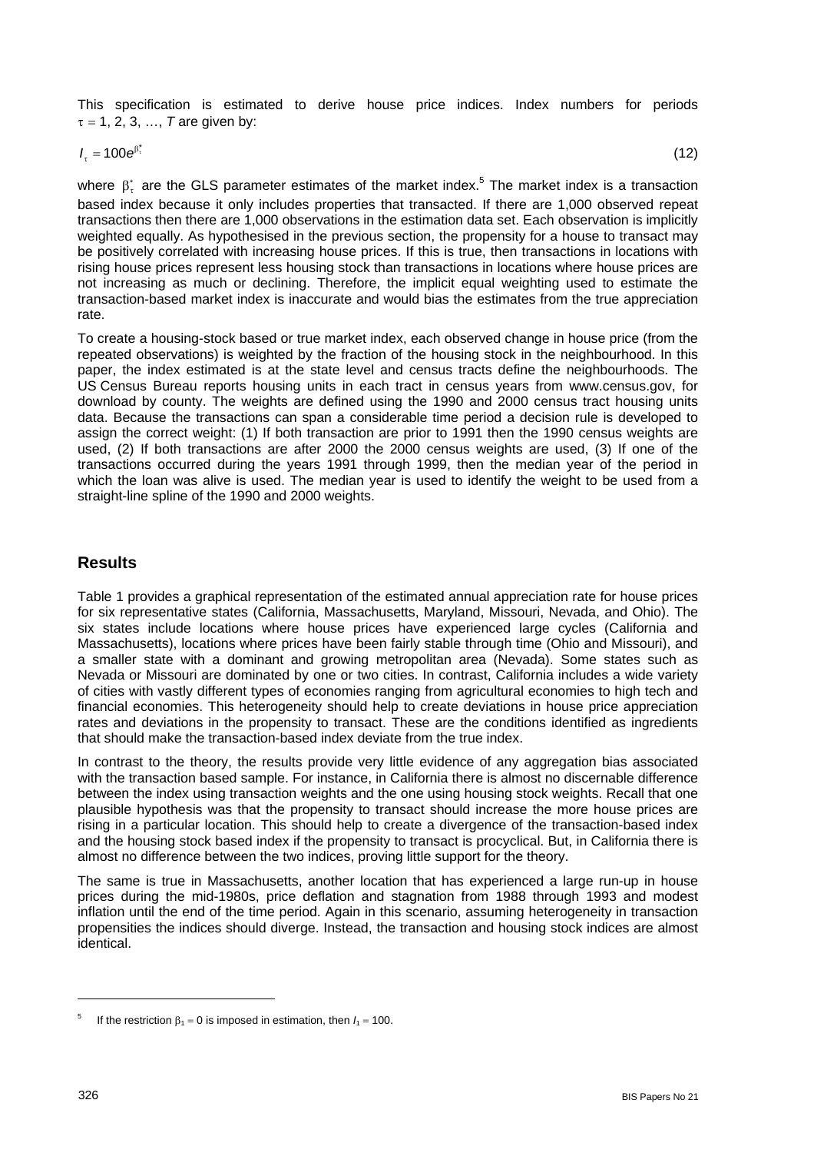This specification is estimated to derive house price indices. Index numbers for periods  $\tau = 1, 2, 3, ..., T$  are given by:

 $I_{\tau} = 100 e^{6\tau}$  (12)

where  $\beta_{\tau}^{*}$  are the GLS parameter estimates of the market index.<sup>5</sup> The market index is a transaction based index because it only includes properties that transacted. If there are 1,000 observed repeat transactions then there are 1,000 observations in the estimation data set. Each observation is implicitly weighted equally. As hypothesised in the previous section, the propensity for a house to transact may be positively correlated with increasing house prices. If this is true, then transactions in locations with rising house prices represent less housing stock than transactions in locations where house prices are not increasing as much or declining. Therefore, the implicit equal weighting used to estimate the transaction-based market index is inaccurate and would bias the estimates from the true appreciation rate.

To create a housing-stock based or true market index, each observed change in house price (from the repeated observations) is weighted by the fraction of the housing stock in the neighbourhood. In this paper, the index estimated is at the state level and census tracts define the neighbourhoods. The US Census Bureau reports housing units in each tract in census years from www.census.gov, for download by county. The weights are defined using the 1990 and 2000 census tract housing units data. Because the transactions can span a considerable time period a decision rule is developed to assign the correct weight: (1) If both transaction are prior to 1991 then the 1990 census weights are used, (2) If both transactions are after 2000 the 2000 census weights are used, (3) If one of the transactions occurred during the years 1991 through 1999, then the median year of the period in which the loan was alive is used. The median year is used to identify the weight to be used from a straight-line spline of the 1990 and 2000 weights.

# **Results**

Table 1 provides a graphical representation of the estimated annual appreciation rate for house prices for six representative states (California, Massachusetts, Maryland, Missouri, Nevada, and Ohio). The six states include locations where house prices have experienced large cycles (California and Massachusetts), locations where prices have been fairly stable through time (Ohio and Missouri), and a smaller state with a dominant and growing metropolitan area (Nevada). Some states such as Nevada or Missouri are dominated by one or two cities. In contrast, California includes a wide variety of cities with vastly different types of economies ranging from agricultural economies to high tech and financial economies. This heterogeneity should help to create deviations in house price appreciation rates and deviations in the propensity to transact. These are the conditions identified as ingredients that should make the transaction-based index deviate from the true index.

In contrast to the theory, the results provide very little evidence of any aggregation bias associated with the transaction based sample. For instance, in California there is almost no discernable difference between the index using transaction weights and the one using housing stock weights. Recall that one plausible hypothesis was that the propensity to transact should increase the more house prices are rising in a particular location. This should help to create a divergence of the transaction-based index and the housing stock based index if the propensity to transact is procyclical. But, in California there is almost no difference between the two indices, proving little support for the theory.

The same is true in Massachusetts, another location that has experienced a large run-up in house prices during the mid-1980s, price deflation and stagnation from 1988 through 1993 and modest inflation until the end of the time period. Again in this scenario, assuming heterogeneity in transaction propensities the indices should diverge. Instead, the transaction and housing stock indices are almost identical.

<sup>5</sup> If the restriction  $\beta_1 = 0$  is imposed in estimation, then  $I_1 = 100$ .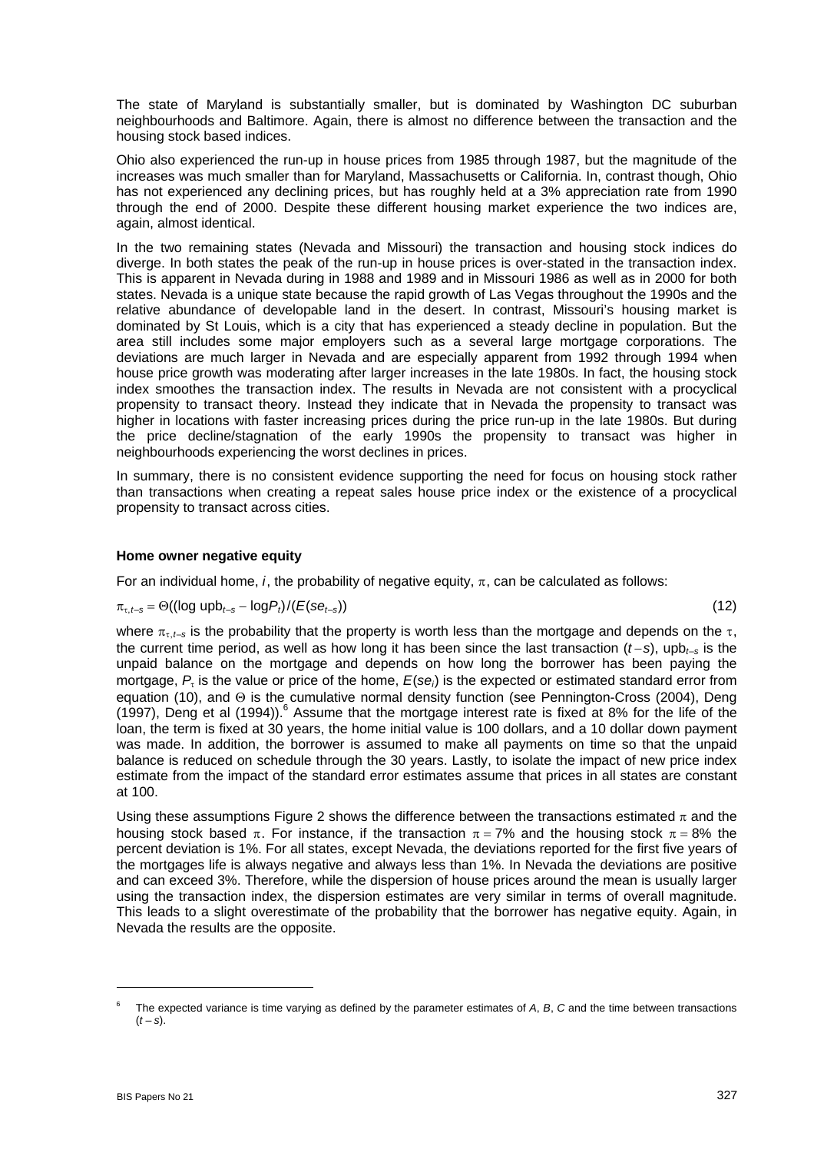The state of Maryland is substantially smaller, but is dominated by Washington DC suburban neighbourhoods and Baltimore. Again, there is almost no difference between the transaction and the housing stock based indices.

Ohio also experienced the run-up in house prices from 1985 through 1987, but the magnitude of the increases was much smaller than for Maryland, Massachusetts or California. In, contrast though, Ohio has not experienced any declining prices, but has roughly held at a 3% appreciation rate from 1990 through the end of 2000. Despite these different housing market experience the two indices are, again, almost identical.

In the two remaining states (Nevada and Missouri) the transaction and housing stock indices do diverge. In both states the peak of the run-up in house prices is over-stated in the transaction index. This is apparent in Nevada during in 1988 and 1989 and in Missouri 1986 as well as in 2000 for both states. Nevada is a unique state because the rapid growth of Las Vegas throughout the 1990s and the relative abundance of developable land in the desert. In contrast, Missouri's housing market is dominated by St Louis, which is a city that has experienced a steady decline in population. But the area still includes some major employers such as a several large mortgage corporations. The deviations are much larger in Nevada and are especially apparent from 1992 through 1994 when house price growth was moderating after larger increases in the late 1980s. In fact, the housing stock index smoothes the transaction index. The results in Nevada are not consistent with a procyclical propensity to transact theory. Instead they indicate that in Nevada the propensity to transact was higher in locations with faster increasing prices during the price run-up in the late 1980s. But during the price decline/stagnation of the early 1990s the propensity to transact was higher in neighbourhoods experiencing the worst declines in prices.

In summary, there is no consistent evidence supporting the need for focus on housing stock rather than transactions when creating a repeat sales house price index or the existence of a procyclical propensity to transact across cities.

#### **Home owner negative equity**

For an individual home, *i*, the probability of negative equity,  $\pi$ , can be calculated as follows:

$$
\pi_{\tau,t-s} = \Theta((\log \text{upp}_{t-s} - \log P_t)/ (E(se_{t-s})) \tag{12}
$$

where  $\pi_{r,t-s}$  is the probability that the property is worth less than the mortgage and depends on the  $\tau$ , the current time period, as well as how long it has been since the last transaction (*t* −*s*), upb*t*–*s* is the unpaid balance on the mortgage and depends on how long the borrower has been paying the mortgage, *P*τ is the value or price of the home, *E*(*sei*) is the expected or estimated standard error from equation (10), and Θ is the cumulative normal density function (see Pennington-Cross (2004), Deng (1997), Deng et al (1994)).  $6$  Assume that the mortgage interest rate is fixed at 8% for the life of the loan, the term is fixed at 30 years, the home initial value is 100 dollars, and a 10 dollar down payment was made. In addition, the borrower is assumed to make all payments on time so that the unpaid balance is reduced on schedule through the 30 years. Lastly, to isolate the impact of new price index estimate from the impact of the standard error estimates assume that prices in all states are constant

Using these assumptions Figure 2 shows the difference between the transactions estimated  $\pi$  and the housing stock based  $\pi$ . For instance, if the transaction  $\pi = 7\%$  and the housing stock  $\pi = 8\%$  the percent deviation is 1%. For all states, except Nevada, the deviations reported for the first five years of the mortgages life is always negative and always less than 1%. In Nevada the deviations are positive and can exceed 3%. Therefore, while the dispersion of house prices around the mean is usually larger using the transaction index, the dispersion estimates are very similar in terms of overall magnitude. This leads to a slight overestimate of the probability that the borrower has negative equity. Again, in Nevada the results are the opposite.

at 100.

<sup>6</sup> The expected variance is time varying as defined by the parameter estimates of *A*, *B*, *C* and the time between transactions  $(t - s)$ .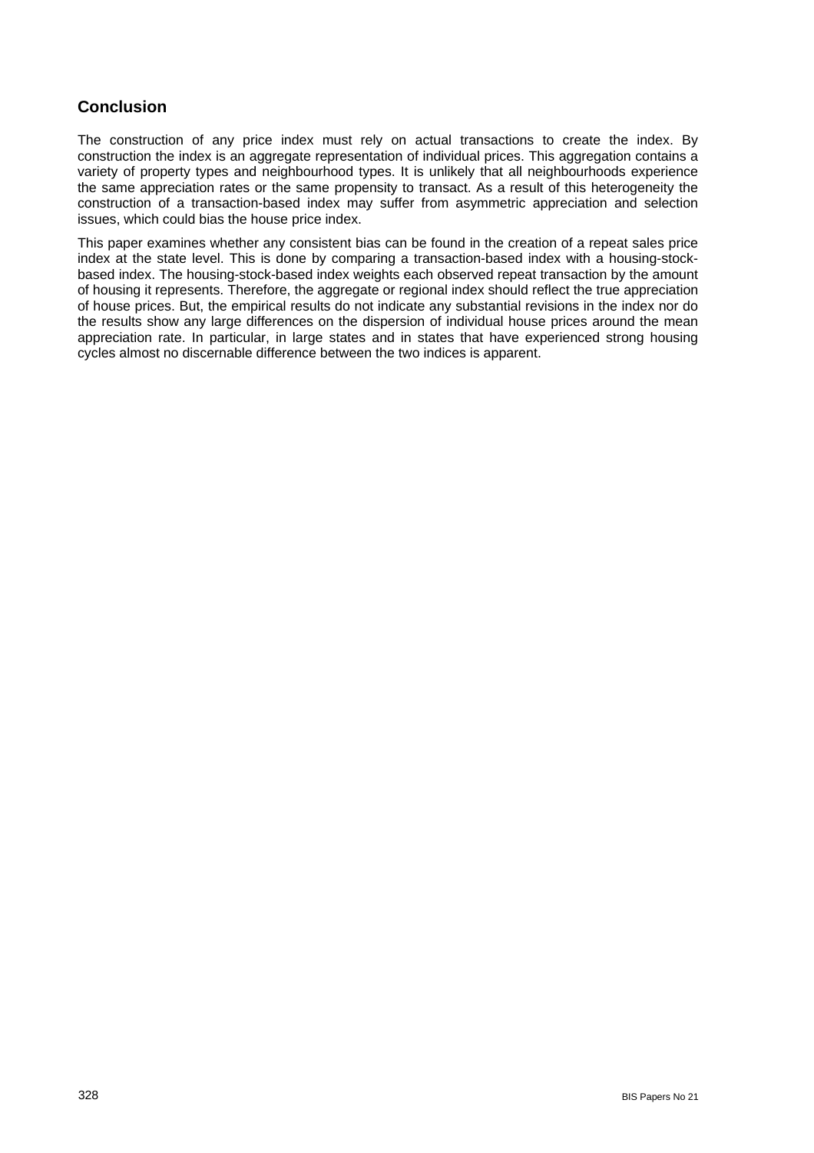# **Conclusion**

The construction of any price index must rely on actual transactions to create the index. By construction the index is an aggregate representation of individual prices. This aggregation contains a variety of property types and neighbourhood types. It is unlikely that all neighbourhoods experience the same appreciation rates or the same propensity to transact. As a result of this heterogeneity the construction of a transaction-based index may suffer from asymmetric appreciation and selection issues, which could bias the house price index.

This paper examines whether any consistent bias can be found in the creation of a repeat sales price index at the state level. This is done by comparing a transaction-based index with a housing-stockbased index. The housing-stock-based index weights each observed repeat transaction by the amount of housing it represents. Therefore, the aggregate or regional index should reflect the true appreciation of house prices. But, the empirical results do not indicate any substantial revisions in the index nor do the results show any large differences on the dispersion of individual house prices around the mean appreciation rate. In particular, in large states and in states that have experienced strong housing cycles almost no discernable difference between the two indices is apparent.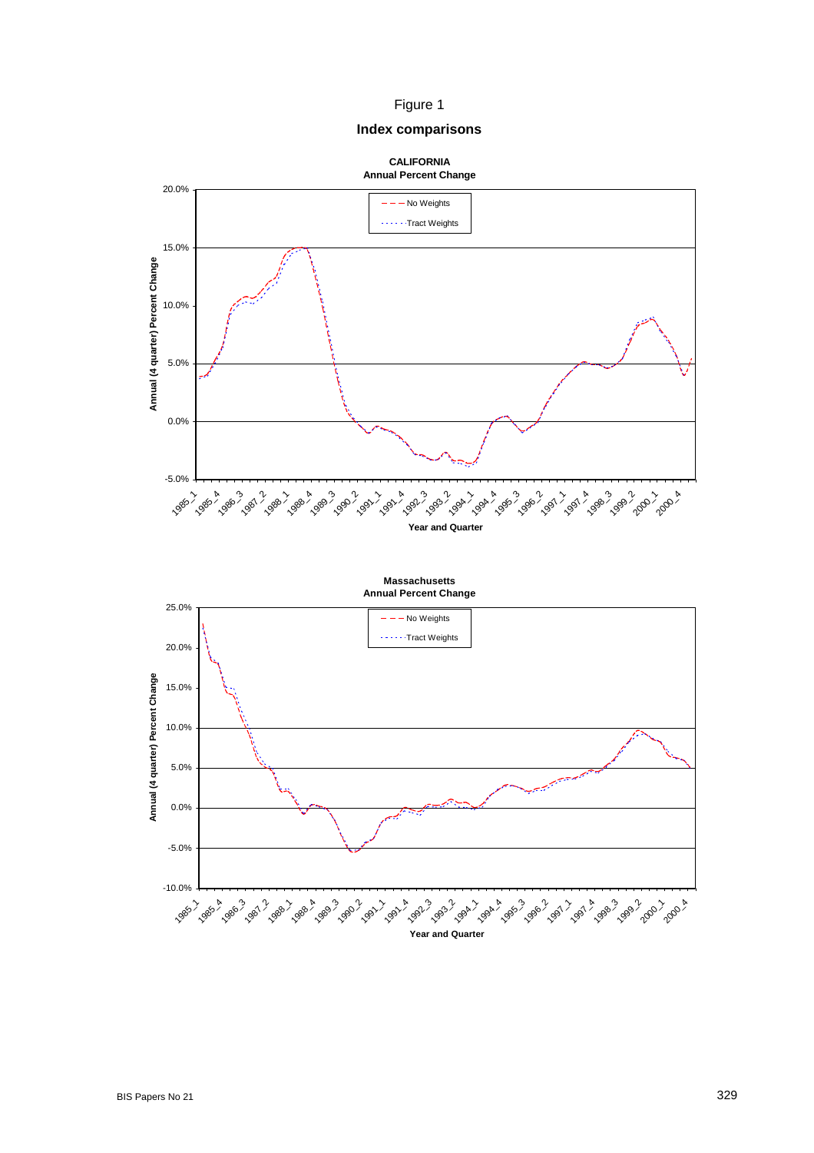### Figure 1

### **Index comparisons**



**Massachusetts Annual Percent Change**

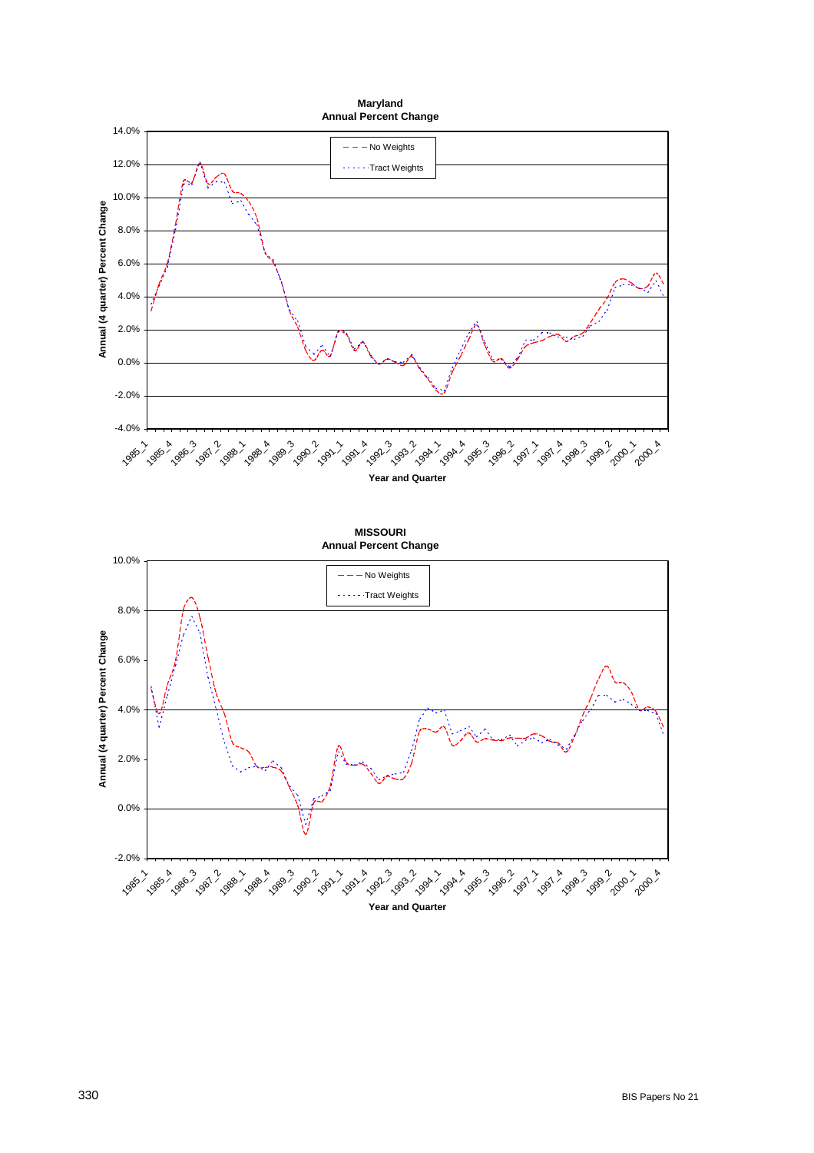



**Year and Quarter**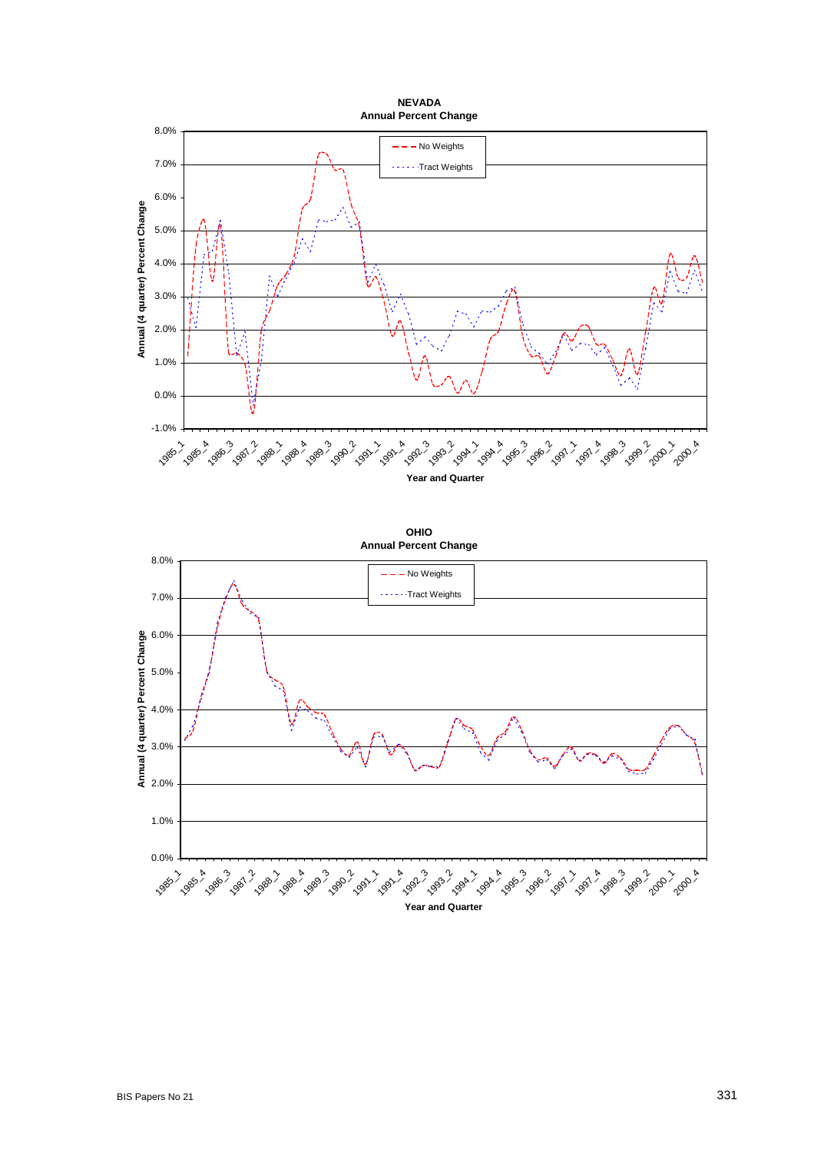

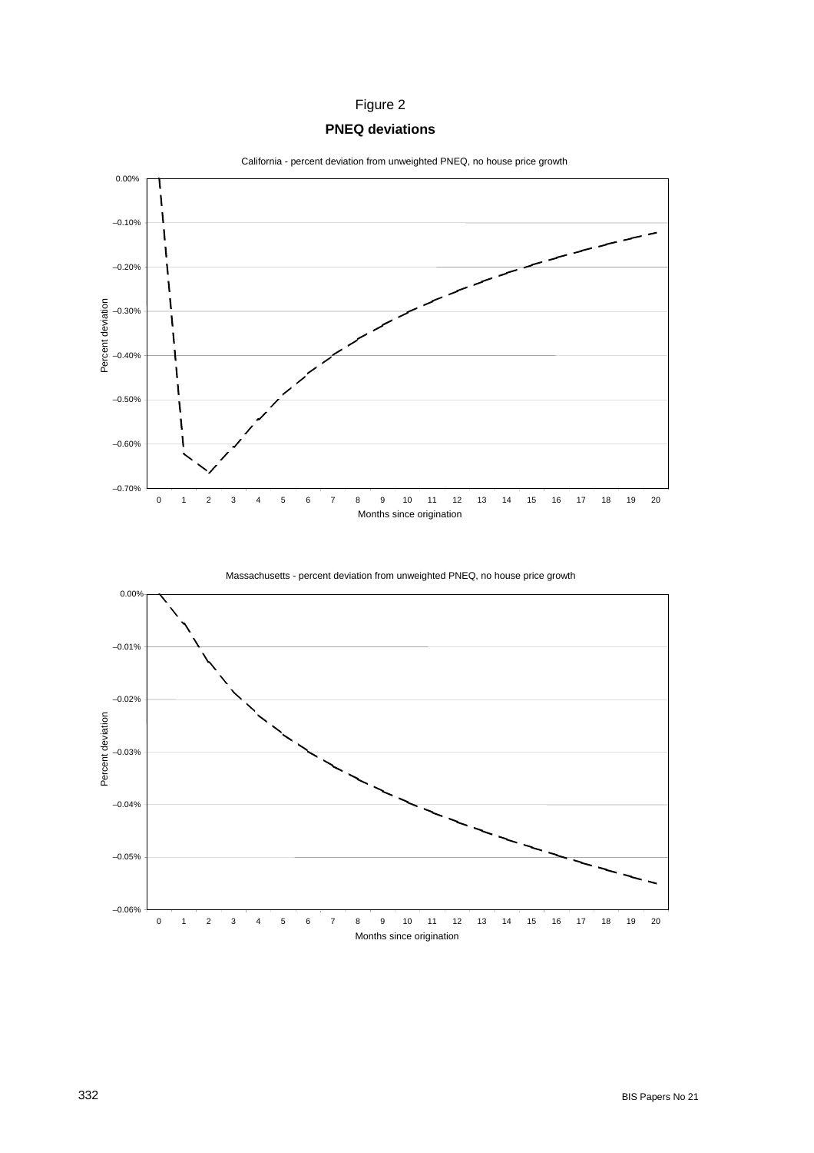# Figure 2

## **PNEQ deviations**



Massachusetts - percent deviation from unweighted PNEQ, no house price growth

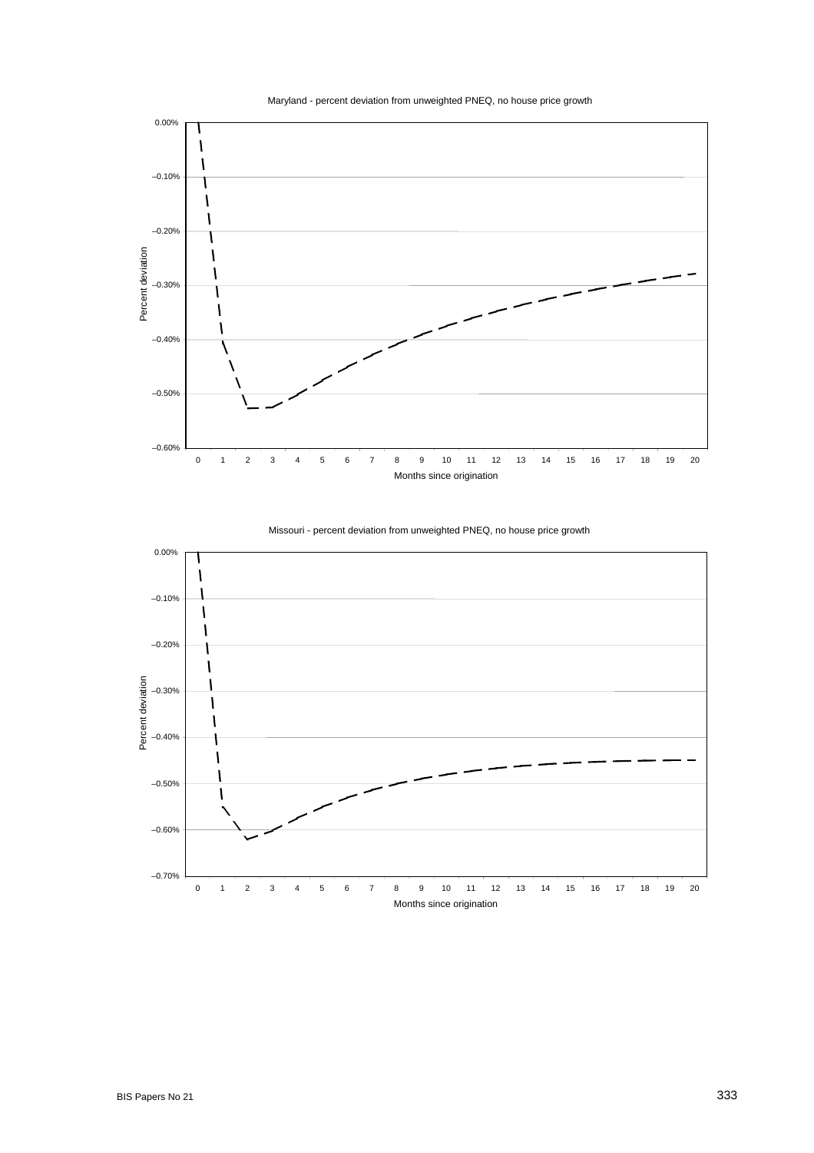





Missouri - percent deviation from unweighted PNEQ, no house price growth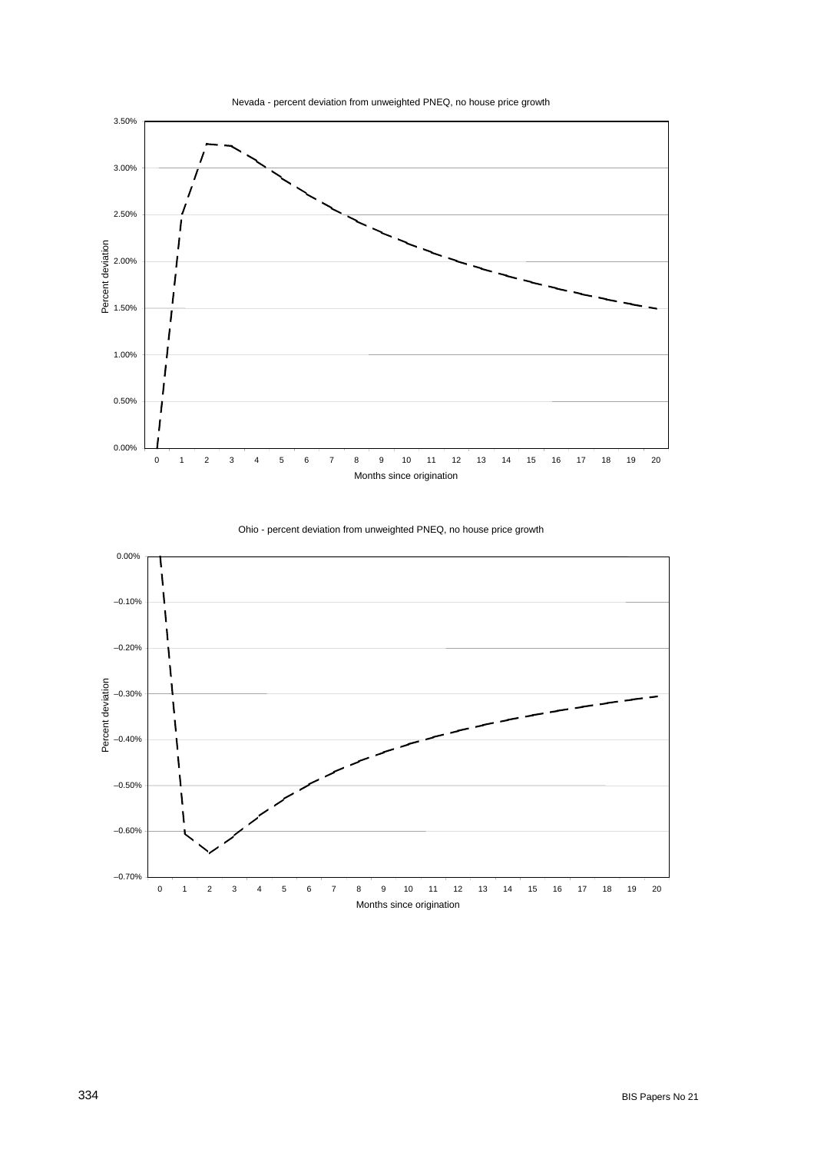